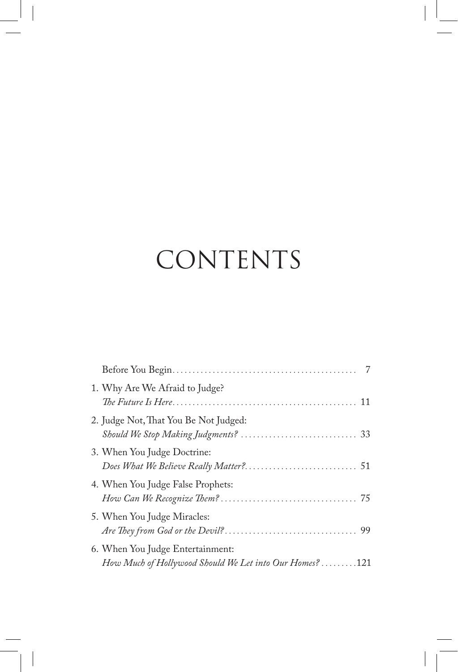# CONTENTS

| 1. Why Are We Afraid to Judge?                                                              |
|---------------------------------------------------------------------------------------------|
| 2. Judge Not, That You Be Not Judged:                                                       |
| 3. When You Judge Doctrine:                                                                 |
| 4. When You Judge False Prophets:                                                           |
| 5. When You Judge Miracles:                                                                 |
| 6. When You Judge Entertainment:<br>How Much of Hollywood Should We Let into Our Homes? 121 |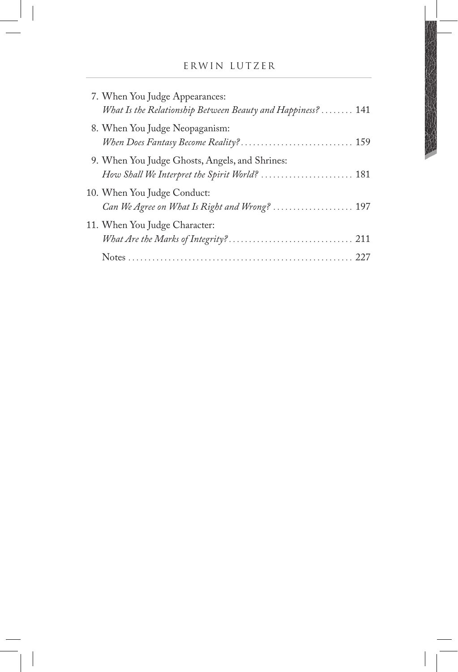| 7. When You Judge Appearances:<br>What Is the Relationship Between Beauty and Happiness? 141    |  |
|-------------------------------------------------------------------------------------------------|--|
| 8. When You Judge Neopaganism:                                                                  |  |
| 9. When You Judge Ghosts, Angels, and Shrines:<br>How Shall We Interpret the Spirit World?  181 |  |
| 10. When You Judge Conduct:<br>Can We Agree on What Is Right and Wrong?  197                    |  |
| 11. When You Judge Character:                                                                   |  |
|                                                                                                 |  |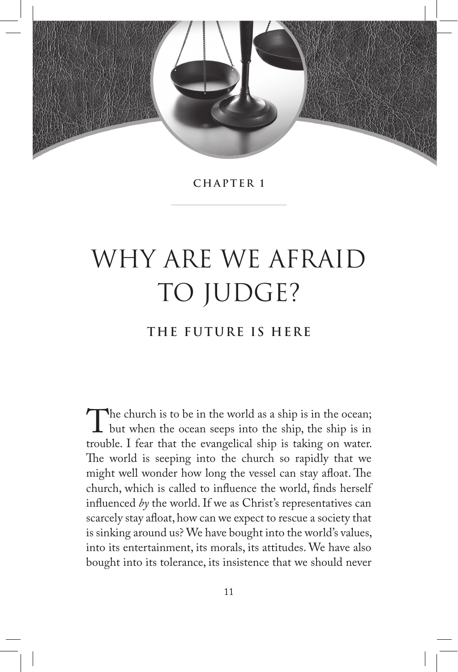#### **chapter 1**

# WHY ARE WE AFRAID TO JUDGE?

#### **THE FUTURE IS HERE**

The church is to be in the world as a ship is in the ocean;<br>but when the ocean seeps into the ship, the ship is in<br>trouble I fear that the evangelical ship is taking on water but when the ocean seeps into the ship, the ship is in trouble. I fear that the evangelical ship is taking on water. The world is seeping into the church so rapidly that we might well wonder how long the vessel can stay afloat. The church, which is called to influence the world, finds herself influenced by the world. If we as Christ's representatives can scarcely stay afloat, how can we expect to rescue a society that is sinking around us? We have bought into the world's values, into its entertainment, its morals, its attitudes. We have also bought into its tolerance, its insistence that we should never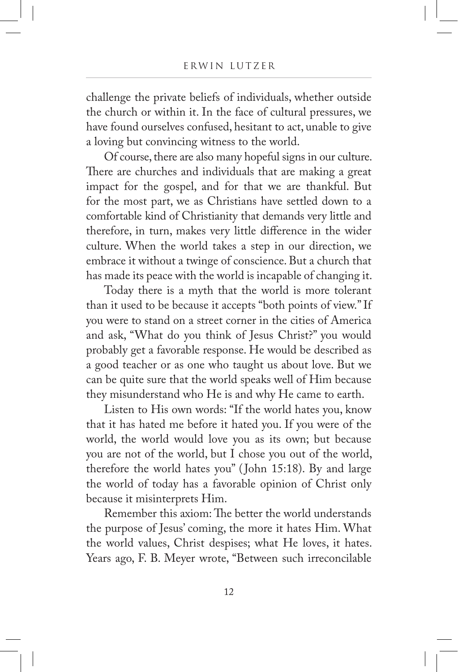challenge the private beliefs of individuals, whether outside the church or within it. In the face of cultural pressures, we have found ourselves confused, hesitant to act, unable to give a loving but convincing witness to the world.

Of course, there are also many hopeful signs in our culture. There are churches and individuals that are making a great impact for the gospel, and for that we are thankful. But for the most part, we as Christians have settled down to a comfortable kind of Christianity that demands very little and therefore, in turn, makes very little difference in the wider culture. When the world takes a step in our direction, we embrace it without a twinge of conscience. But a church that has made its peace with the world is incapable of changing it.

Today there is a myth that the world is more tolerant than it used to be because it accepts "both points of view." If you were to stand on a street corner in the cities of America and ask, "What do you think of Jesus Christ?" you would probably get a favorable response. He would be described as a good teacher or as one who taught us about love. But we can be quite sure that the world speaks well of Him because they misunderstand who He is and why He came to earth.

Listen to His own words: "If the world hates you, know that it has hated me before it hated you. If you were of the world, the world would love you as its own; but because you are not of the world, but I chose you out of the world, therefore the world hates you" ( John 15:18). By and large the world of today has a favorable opinion of Christ only because it misinterprets Him.

Remember this axiom: The better the world understands the purpose of Jesus' coming, the more it hates Him. What the world values, Christ despises; what He loves, it hates. Years ago, F. B. Meyer wrote, "Between such irreconcilable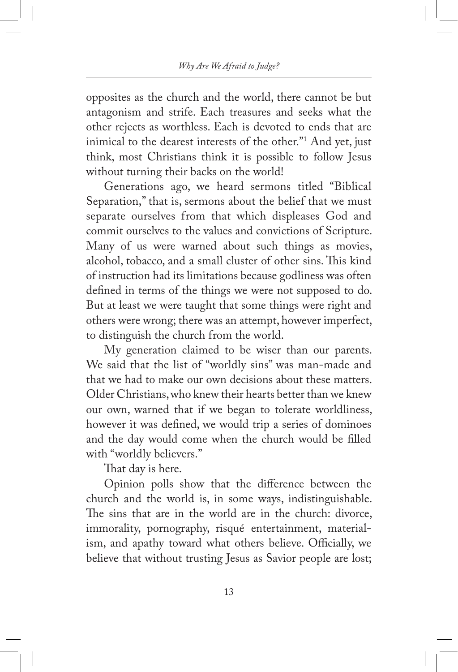opposites as the church and the world, there cannot be but antagonism and strife. Each treasures and seeks what the other rejects as worthless. Each is devoted to ends that are inimical to the dearest interests of the other."1 And yet, just think, most Christians think it is possible to follow Jesus without turning their backs on the world!

Generations ago, we heard sermons titled "Biblical Separation," that is, sermons about the belief that we must separate ourselves from that which displeases God and commit ourselves to the values and convictions of Scripture. Many of us were warned about such things as movies, alcohol, tobacco, and a small cluster of other sins. This kind of instruction had its limitations because godliness was often defined in terms of the things we were not supposed to do. But at least we were taught that some things were right and others were wrong; there was an attempt, however imperfect, to distinguish the church from the world.

My generation claimed to be wiser than our parents. We said that the list of "worldly sins" was man-made and that we had to make our own decisions about these matters. Older Christians, who knew their hearts better than we knew our own, warned that if we began to tolerate worldliness, however it was defined, we would trip a series of dominoes and the day would come when the church would be filled with "worldly believers."

That day is here.

Opinion polls show that the difference between the church and the world is, in some ways, indistinguishable. The sins that are in the world are in the church: divorce, immorality, pornography, risqué entertainment, materialism, and apathy toward what others believe. Officially, we believe that without trusting Jesus as Savior people are lost;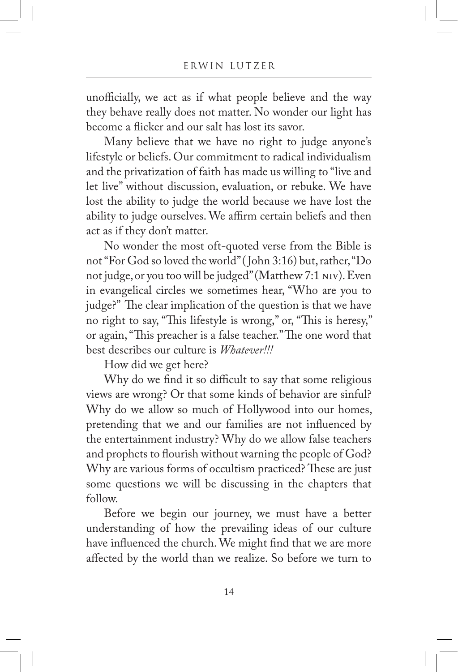unofficially, we act as if what people believe and the way they behave really does not matter. No wonder our light has become a flicker and our salt has lost its savor.

Many believe that we have no right to judge anyone's lifestyle or beliefs. Our commitment to radical individualism and the privatization of faith has made us willing to "live and let live" without discussion, evaluation, or rebuke. We have lost the ability to judge the world because we have lost the ability to judge ourselves. We affirm certain beliefs and then act as if they don't matter.

No wonder the most oft-quoted verse from the Bible is not "For God so loved the world" ( John 3:16) but, rather, "Do not judge, or you too will be judged" (Matthew 7:1 niv). Even in evangelical circles we sometimes hear, "Who are you to judge?" The clear implication of the question is that we have no right to say, "This lifestyle is wrong," or, "This is heresy," or again, "This preacher is a false teacher." The one word that best describes our culture is *Whatever!!!*

How did we get here?

Why do we find it so difficult to say that some religious views are wrong? Or that some kinds of behavior are sinful? Why do we allow so much of Hollywood into our homes, pretending that we and our families are not influenced by the entertainment industry? Why do we allow false teachers and prophets to flourish without warning the people of God? Why are various forms of occultism practiced? These are just some questions we will be discussing in the chapters that follow.

Before we begin our journey, we must have a better understanding of how the prevailing ideas of our culture have influenced the church. We might find that we are more affected by the world than we realize. So before we turn to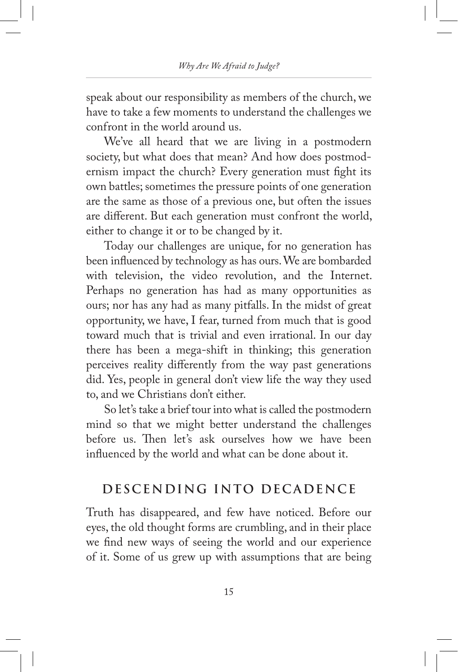speak about our responsibility as members of the church, we have to take a few moments to understand the challenges we confront in the world around us.

We've all heard that we are living in a postmodern society, but what does that mean? And how does postmodernism impact the church? Every generation must fight its own battles; sometimes the pressure points of one generation are the same as those of a previous one, but often the issues are different. But each generation must confront the world, either to change it or to be changed by it.

Today our challenges are unique, for no generation has been influenced by technology as has ours. We are bombarded with television, the video revolution, and the Internet. Perhaps no generation has had as many opportunities as ours; nor has any had as many pitfalls. In the midst of great opportunity, we have, I fear, turned from much that is good toward much that is trivial and even irrational. In our day there has been a mega-shift in thinking; this generation perceives reality differently from the way past generations did. Yes, people in general don't view life the way they used to, and we Christians don't either.

So let's take a brief tour into what is called the postmodern mind so that we might better understand the challenges before us. Then let's ask ourselves how we have been influenced by the world and what can be done about it.

## **DESCENDING INTO DECADENCE**

Truth has disappeared, and few have noticed. Before our eyes, the old thought forms are crumbling, and in their place we find new ways of seeing the world and our experience of it. Some of us grew up with assumptions that are being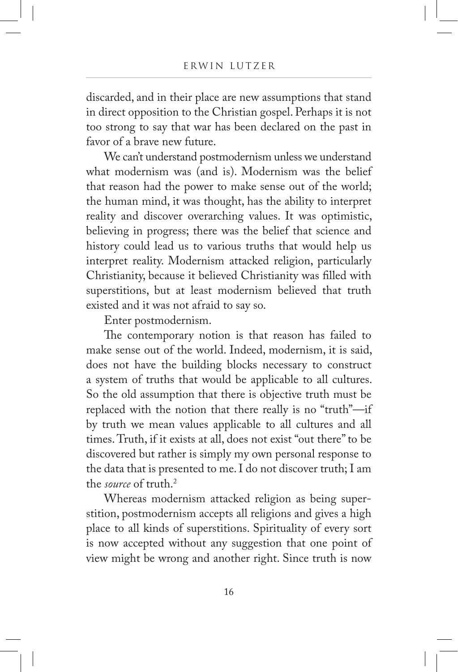discarded, and in their place are new assumptions that stand in direct opposition to the Christian gospel. Perhaps it is not too strong to say that war has been declared on the past in favor of a brave new future.

We can't understand postmodernism unless we understand what modernism was (and is). Modernism was the belief that reason had the power to make sense out of the world; the human mind, it was thought, has the ability to interpret reality and discover overarching values. It was optimistic, believing in progress; there was the belief that science and history could lead us to various truths that would help us interpret reality. Modernism attacked religion, particularly Christianity, because it believed Christianity was filled with superstitions, but at least modernism believed that truth existed and it was not afraid to say so.

Enter postmodernism.

The contemporary notion is that reason has failed to make sense out of the world. Indeed, modernism, it is said, does not have the building blocks necessary to construct a system of truths that would be applicable to all cultures. So the old assumption that there is objective truth must be replaced with the notion that there really is no "truth"—if by truth we mean values applicable to all cultures and all times. Truth, if it exists at all, does not exist "out there" to be discovered but rather is simply my own personal response to the data that is presented to me. I do not discover truth; I am the *source* of truth.2

Whereas modernism attacked religion as being superstition, postmodernism accepts all religions and gives a high place to all kinds of superstitions. Spirituality of every sort is now accepted without any suggestion that one point of view might be wrong and another right. Since truth is now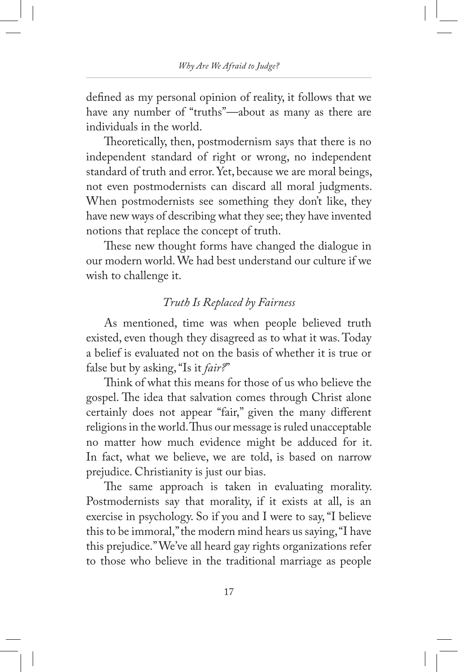defined as my personal opinion of reality, it follows that we have any number of "truths"—about as many as there are individuals in the world.

Theoretically, then, postmodernism says that there is no independent standard of right or wrong, no independent standard of truth and error. Yet, because we are moral beings, not even postmodernists can discard all moral judgments. When postmodernists see something they don't like, they have new ways of describing what they see; they have invented notions that replace the concept of truth.

These new thought forms have changed the dialogue in our modern world. We had best understand our culture if we wish to challenge it.

## *Truth Is Replaced by Fairness*

As mentioned, time was when people believed truth existed, even though they disagreed as to what it was. Today a belief is evaluated not on the basis of whether it is true or false but by asking, "Is it *fair?*"

Think of what this means for those of us who believe the gospel. The idea that salvation comes through Christ alone certainly does not appear "fair," given the many different religions in the world. Thus our message is ruled unacceptable no matter how much evidence might be adduced for it. In fact, what we believe, we are told, is based on narrow prejudice. Christianity is just our bias.

The same approach is taken in evaluating morality. Postmodernists say that morality, if it exists at all, is an exercise in psychology. So if you and I were to say, "I believe this to be immoral," the modern mind hears us saying, "I have this prejudice." We've all heard gay rights organizations refer to those who believe in the traditional marriage as people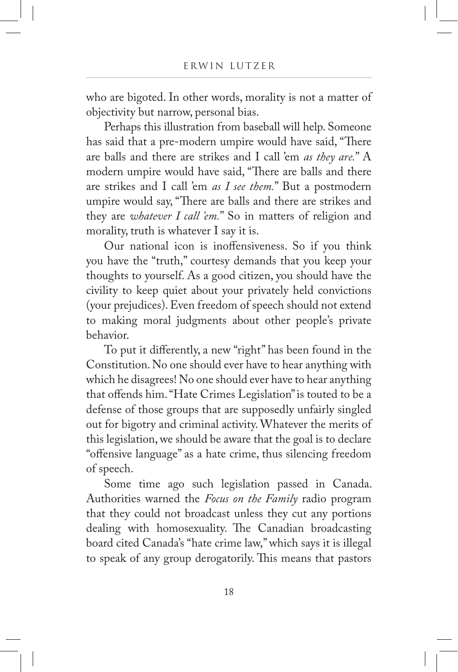who are bigoted. In other words, morality is not a matter of objectivity but narrow, personal bias.

Perhaps this illustration from baseball will help. Someone has said that a pre-modern umpire would have said, "There are balls and there are strikes and I call 'em *as they are.*" A modern umpire would have said, "There are balls and there are strikes and I call 'em *as I see them.*" But a postmodern umpire would say, "There are balls and there are strikes and they are *whatever I call 'em.*" So in matters of religion and morality, truth is whatever I say it is.

Our national icon is inoffensiveness. So if you think you have the "truth," courtesy demands that you keep your thoughts to yourself. As a good citizen, you should have the civility to keep quiet about your privately held convictions (your prejudices). Even freedom of speech should not extend to making moral judgments about other people's private behavior.

To put it differently, a new "right" has been found in the Constitution. No one should ever have to hear anything with which he disagrees! No one should ever have to hear anything that offends him. "Hate Crimes Legislation" is touted to be a defense of those groups that are supposedly unfairly singled out for bigotry and criminal activity. Whatever the merits of this legislation, we should be aware that the goal is to declare "offensive language" as a hate crime, thus silencing freedom of speech.

Some time ago such legislation passed in Canada. Authorities warned the *Focus on the Family* radio program that they could not broadcast unless they cut any portions dealing with homosexuality. The Canadian broadcasting board cited Canada's "hate crime law," which says it is illegal to speak of any group derogatorily. This means that pastors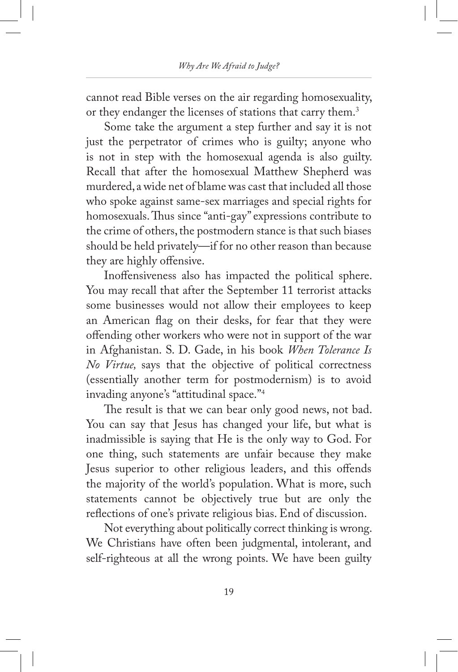cannot read Bible verses on the air regarding homosexuality, or they endanger the licenses of stations that carry them.<sup>3</sup>

Some take the argument a step further and say it is not just the perpetrator of crimes who is guilty; anyone who is not in step with the homosexual agenda is also guilty. Recall that after the homosexual Matthew Shepherd was murdered, a wide net of blame was cast that included all those who spoke against same-sex marriages and special rights for homosexuals. Thus since "anti-gay" expressions contribute to the crime of others, the postmodern stance is that such biases should be held privately—if for no other reason than because they are highly offensive.

Inoffensiveness also has impacted the political sphere. You may recall that after the September 11 terrorist attacks some businesses would not allow their employees to keep an American flag on their desks, for fear that they were offending other workers who were not in support of the war in Afghanistan. S. D. Gade, in his book *When Tolerance Is No Virtue,* says that the objective of political correctness (essentially another term for postmodernism) is to avoid invading anyone's "attitudinal space."4

The result is that we can bear only good news, not bad. You can say that Jesus has changed your life, but what is inadmissible is saying that He is the only way to God. For one thing, such statements are unfair because they make Jesus superior to other religious leaders, and this offends the majority of the world's population. What is more, such statements cannot be objectively true but are only the reflections of one's private religious bias. End of discussion.

Not everything about politically correct thinking is wrong. We Christians have often been judgmental, intolerant, and self-righteous at all the wrong points. We have been guilty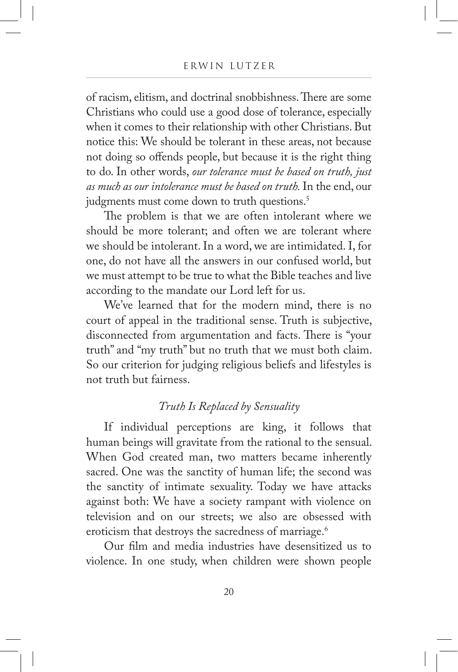of racism, elitism, and doctrinal snobbishness. There are some Christians who could use a good dose of tolerance, especially when it comes to their relationship with other Christians. But notice this: We should be tolerant in these areas, not because not doing so offends people, but because it is the right thing to do. In other words, *our tolerance must be based on truth, just as much as our intolerance must be based on truth.* In the end, our judgments must come down to truth questions.<sup>5</sup>

The problem is that we are often intolerant where we should be more tolerant; and often we are tolerant where we should be intolerant. In a word, we are intimidated. I, for one, do not have all the answers in our confused world, but we must attempt to be true to what the Bible teaches and live according to the mandate our Lord left for us.

We've learned that for the modern mind, there is no court of appeal in the traditional sense. Truth is subjective, disconnected from argumentation and facts. There is "your truth" and "my truth" but no truth that we must both claim. So our criterion for judging religious beliefs and lifestyles is not truth but fairness.

#### *Truth Is Replaced by Sensuality*

If individual perceptions are king, it follows that human beings will gravitate from the rational to the sensual. When God created man, two matters became inherently sacred. One was the sanctity of human life; the second was the sanctity of intimate sexuality. Today we have attacks against both: We have a society rampant with violence on television and on our streets; we also are obsessed with eroticism that destroys the sacredness of marriage.<sup>6</sup>

Our film and media industries have desensitized us to violence. In one study, when children were shown people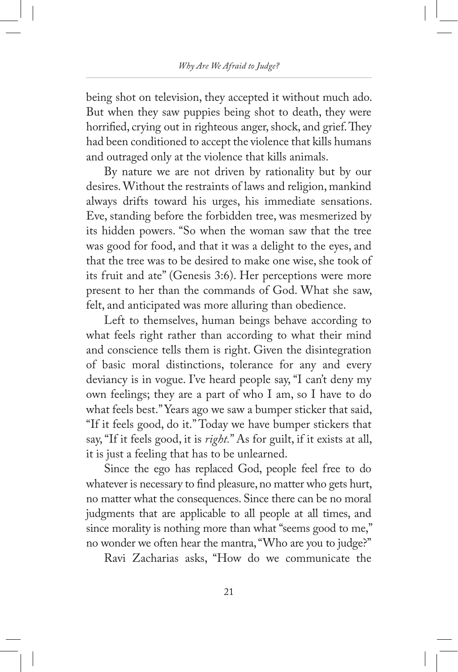being shot on television, they accepted it without much ado. But when they saw puppies being shot to death, they were horrified, crying out in righteous anger, shock, and grief. They had been conditioned to accept the violence that kills humans and outraged only at the violence that kills animals.

By nature we are not driven by rationality but by our desires. Without the restraints of laws and religion, mankind always drifts toward his urges, his immediate sensations. Eve, standing before the forbidden tree, was mesmerized by its hidden powers. "So when the woman saw that the tree was good for food, and that it was a delight to the eyes, and that the tree was to be desired to make one wise, she took of its fruit and ate" (Genesis 3:6). Her perceptions were more present to her than the commands of God. What she saw, felt, and anticipated was more alluring than obedience.

Left to themselves, human beings behave according to what feels right rather than according to what their mind and conscience tells them is right. Given the disintegration of basic moral distinctions, tolerance for any and every deviancy is in vogue. I've heard people say, "I can't deny my own feelings; they are a part of who I am, so I have to do what feels best." Years ago we saw a bumper sticker that said, "If it feels good, do it." Today we have bumper stickers that say, "If it feels good, it is *right.*" As for guilt, if it exists at all, it is just a feeling that has to be unlearned.

Since the ego has replaced God, people feel free to do whatever is necessary to find pleasure, no matter who gets hurt, no matter what the consequences. Since there can be no moral judgments that are applicable to all people at all times, and since morality is nothing more than what "seems good to me," no wonder we often hear the mantra, "Who are you to judge?"

Ravi Zacharias asks, "How do we communicate the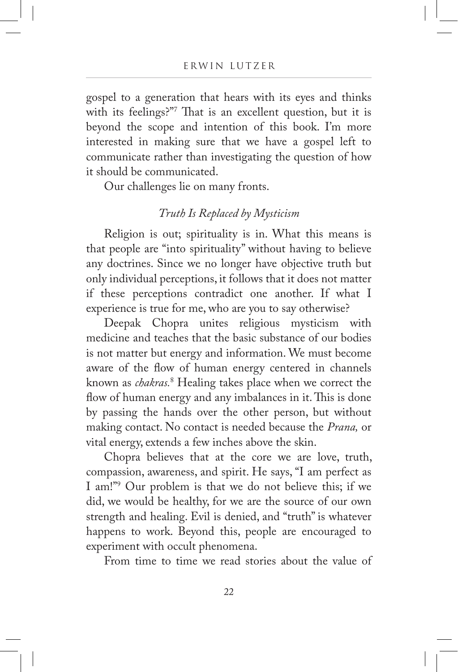gospel to a generation that hears with its eyes and thinks with its feelings?"7 That is an excellent question, but it is beyond the scope and intention of this book. I'm more interested in making sure that we have a gospel left to communicate rather than investigating the question of how it should be communicated.

Our challenges lie on many fronts.

### *Truth Is Replaced by Mysticism*

Religion is out; spirituality is in. What this means is that people are "into spirituality" without having to believe any doctrines. Since we no longer have objective truth but only individual perceptions, it follows that it does not matter if these perceptions contradict one another. If what I experience is true for me, who are you to say otherwise?

Deepak Chopra unites religious mysticism with medicine and teaches that the basic substance of our bodies is not matter but energy and information. We must become aware of the flow of human energy centered in channels known as *chakras.*<sup>8</sup> Healing takes place when we correct the flow of human energy and any imbalances in it. This is done by passing the hands over the other person, but without making contact. No contact is needed because the *Prana,* or vital energy, extends a few inches above the skin.

Chopra believes that at the core we are love, truth, compassion, awareness, and spirit. He says, "I am perfect as I am!"9 Our problem is that we do not believe this; if we did, we would be healthy, for we are the source of our own strength and healing. Evil is denied, and "truth" is whatever happens to work. Beyond this, people are encouraged to experiment with occult phenomena.

From time to time we read stories about the value of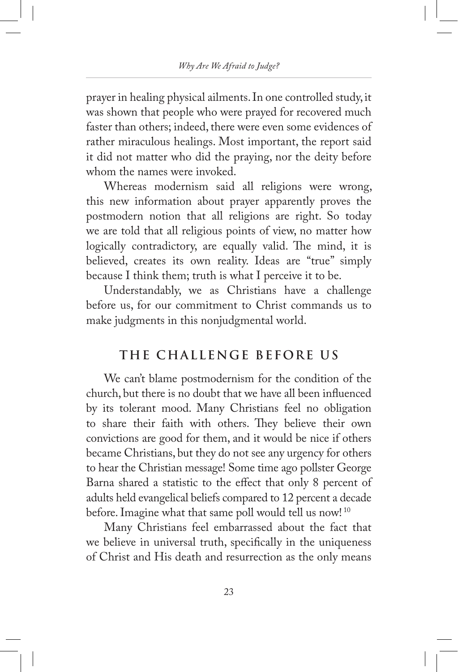prayer in healing physical ailments. In one controlled study, it was shown that people who were prayed for recovered much faster than others; indeed, there were even some evidences of rather miraculous healings. Most important, the report said it did not matter who did the praying, nor the deity before whom the names were invoked.

Whereas modernism said all religions were wrong, this new information about prayer apparently proves the postmodern notion that all religions are right. So today we are told that all religious points of view, no matter how logically contradictory, are equally valid. The mind, it is believed, creates its own reality. Ideas are "true" simply because I think them; truth is what I perceive it to be.

Understandably, we as Christians have a challenge before us, for our commitment to Christ commands us to make judgments in this nonjudgmental world.

## **THE CHALLENGE BEFORE US**

We can't blame postmodernism for the condition of the church, but there is no doubt that we have all been influenced by its tolerant mood. Many Christians feel no obligation to share their faith with others. They believe their own convictions are good for them, and it would be nice if others became Christians, but they do not see any urgency for others to hear the Christian message! Some time ago pollster George Barna shared a statistic to the effect that only 8 percent of adults held evangelical beliefs compared to 12 percent a decade before. Imagine what that same poll would tell us now!<sup>10</sup>

Many Christians feel embarrassed about the fact that we believe in universal truth, specifically in the uniqueness of Christ and His death and resurrection as the only means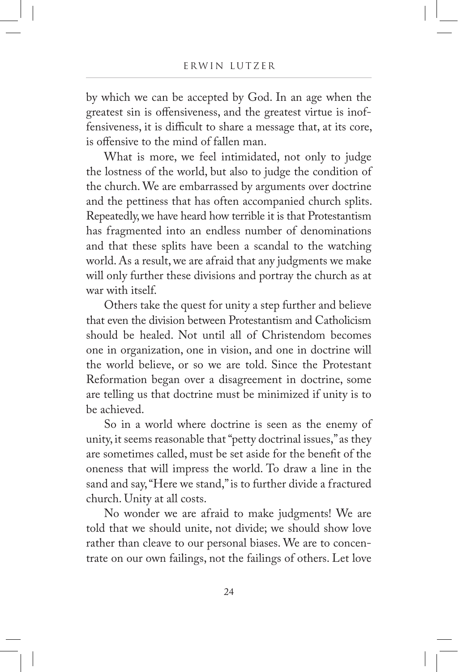by which we can be accepted by God. In an age when the greatest sin is offensiveness, and the greatest virtue is inoffensiveness, it is difficult to share a message that, at its core, is offensive to the mind of fallen man.

What is more, we feel intimidated, not only to judge the lostness of the world, but also to judge the condition of the church. We are embarrassed by arguments over doctrine and the pettiness that has often accompanied church splits. Repeatedly, we have heard how terrible it is that Protestantism has fragmented into an endless number of denominations and that these splits have been a scandal to the watching world. As a result, we are afraid that any judgments we make will only further these divisions and portray the church as at war with itself.

Others take the quest for unity a step further and believe that even the division between Protestantism and Catholicism should be healed. Not until all of Christendom becomes one in organization, one in vision, and one in doctrine will the world believe, or so we are told. Since the Protestant Reformation began over a disagreement in doctrine, some are telling us that doctrine must be minimized if unity is to be achieved.

So in a world where doctrine is seen as the enemy of unity, it seems reasonable that "petty doctrinal issues," as they are sometimes called, must be set aside for the benefit of the oneness that will impress the world. To draw a line in the sand and say, "Here we stand," is to further divide a fractured church. Unity at all costs.

No wonder we are afraid to make judgments! We are told that we should unite, not divide; we should show love rather than cleave to our personal biases. We are to concentrate on our own failings, not the failings of others. Let love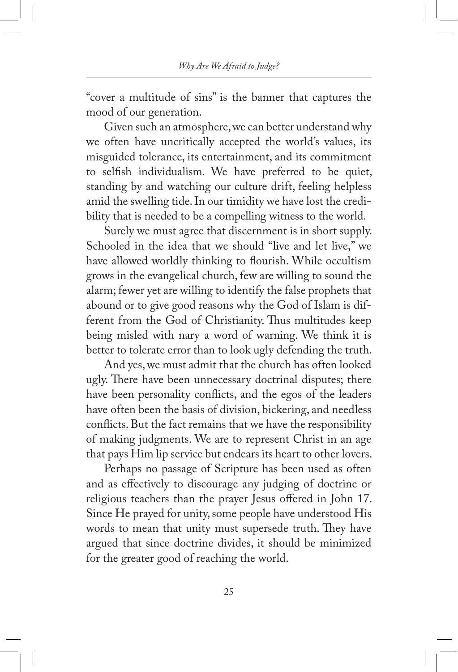"cover a multitude of sins" is the banner that captures the mood of our generation.

Given such an atmosphere, we can better understand why we often have uncritically accepted the world's values, its misguided tolerance, its entertainment, and its commitment to selfish individualism. We have preferred to be quiet, standing by and watching our culture drift, feeling helpless amid the swelling tide. In our timidity we have lost the credibility that is needed to be a compelling witness to the world.

Surely we must agree that discernment is in short supply. Schooled in the idea that we should "live and let live," we have allowed worldly thinking to flourish. While occultism grows in the evangelical church, few are willing to sound the alarm; fewer yet are willing to identify the false prophets that abound or to give good reasons why the God of Islam is different from the God of Christianity. Thus multitudes keep being misled with nary a word of warning. We think it is better to tolerate error than to look ugly defending the truth.

And yes, we must admit that the church has often looked ugly. There have been unnecessary doctrinal disputes; there have been personality conflicts, and the egos of the leaders have often been the basis of division, bickering, and needless conflicts. But the fact remains that we have the responsibility of making judgments. We are to represent Christ in an age that pays Him lip service but endears its heart to other lovers.

Perhaps no passage of Scripture has been used as often and as effectively to discourage any judging of doctrine or religious teachers than the prayer Jesus offered in John 17. Since He prayed for unity, some people have understood His words to mean that unity must supersede truth. They have argued that since doctrine divides, it should be minimized for the greater good of reaching the world.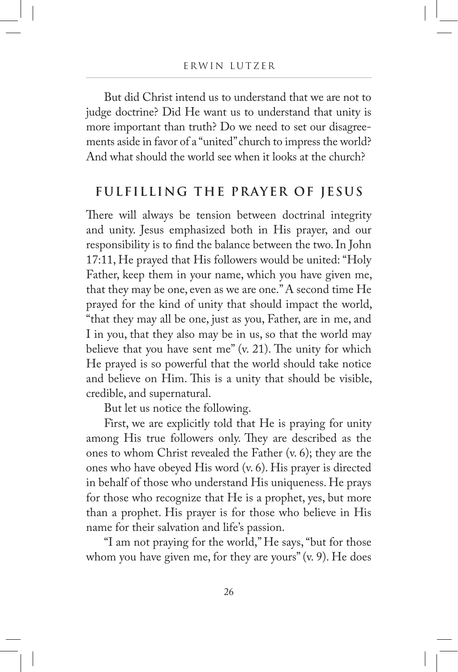But did Christ intend us to understand that we are not to judge doctrine? Did He want us to understand that unity is more important than truth? Do we need to set our disagreements aside in favor of a "united" church to impress the world? And what should the world see when it looks at the church?

### **FULFILLING THE PRAYER OF JESUS**

There will always be tension between doctrinal integrity and unity. Jesus emphasized both in His prayer, and our responsibility is to find the balance between the two. In John 17:11, He prayed that His followers would be united: "Holy Father, keep them in your name, which you have given me, that they may be one, even as we are one." A second time He prayed for the kind of unity that should impact the world, "that they may all be one, just as you, Father, are in me, and I in you, that they also may be in us, so that the world may believe that you have sent me" (v. 21). The unity for which He prayed is so powerful that the world should take notice and believe on Him. This is a unity that should be visible, credible, and supernatural.

But let us notice the following.

First, we are explicitly told that He is praying for unity among His true followers only. They are described as the ones to whom Christ revealed the Father (v. 6); they are the ones who have obeyed His word (v. 6). His prayer is directed in behalf of those who understand His uniqueness. He prays for those who recognize that He is a prophet, yes, but more than a prophet. His prayer is for those who believe in His name for their salvation and life's passion.

"I am not praying for the world," He says, "but for those whom you have given me, for they are yours" (v. 9). He does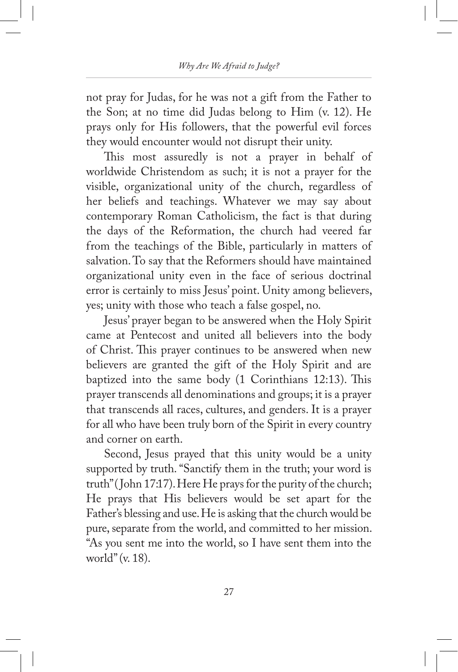not pray for Judas, for he was not a gift from the Father to the Son; at no time did Judas belong to Him (v. 12). He prays only for His followers, that the powerful evil forces they would encounter would not disrupt their unity.

This most assuredly is not a prayer in behalf of worldwide Christendom as such; it is not a prayer for the visible, organizational unity of the church, regardless of her beliefs and teachings. Whatever we may say about contemporary Roman Catholicism, the fact is that during the days of the Reformation, the church had veered far from the teachings of the Bible, particularly in matters of salvation. To say that the Reformers should have maintained organizational unity even in the face of serious doctrinal error is certainly to miss Jesus' point. Unity among believers, yes; unity with those who teach a false gospel, no.

Jesus' prayer began to be answered when the Holy Spirit came at Pentecost and united all believers into the body of Christ. This prayer continues to be answered when new believers are granted the gift of the Holy Spirit and are baptized into the same body (1 Corinthians 12:13). This prayer transcends all denominations and groups; it is a prayer that transcends all races, cultures, and genders. It is a prayer for all who have been truly born of the Spirit in every country and corner on earth.

Second, Jesus prayed that this unity would be a unity supported by truth. "Sanctify them in the truth; your word is truth" (John 17:17). Here He prays for the purity of the church; He prays that His believers would be set apart for the Father's blessing and use. He is asking that the church would be pure, separate from the world, and committed to her mission. "As you sent me into the world, so I have sent them into the world" (v. 18).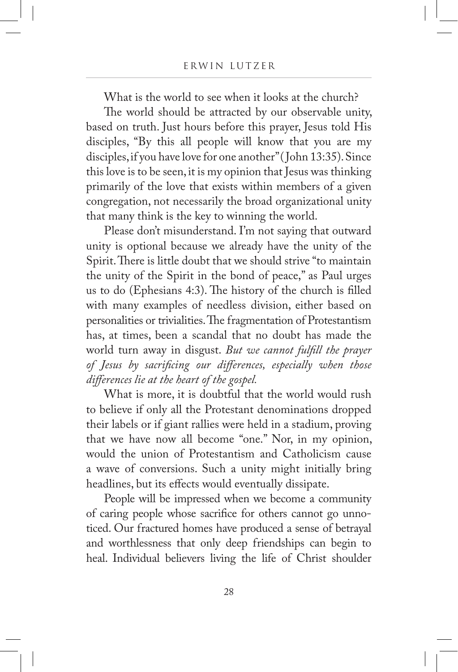What is the world to see when it looks at the church?

The world should be attracted by our observable unity, based on truth. Just hours before this prayer, Jesus told His disciples, "By this all people will know that you are my disciples, if you have love for one another" ( John 13:35). Since this love is to be seen, it is my opinion that Jesus was thinking primarily of the love that exists within members of a given congregation, not necessarily the broad organizational unity that many think is the key to winning the world.

Please don't misunderstand. I'm not saying that outward unity is optional because we already have the unity of the Spirit. There is little doubt that we should strive "to maintain the unity of the Spirit in the bond of peace," as Paul urges us to do (Ephesians 4:3). The history of the church is filled with many examples of needless division, either based on personalities or trivialities. The fragmentation of Protestantism has, at times, been a scandal that no doubt has made the world turn away in disgust. *But we cannot fulfill the prayer of Jesus by sacrificing our differences, especially when those differences lie at the heart of the gospel.*

What is more, it is doubtful that the world would rush to believe if only all the Protestant denominations dropped their labels or if giant rallies were held in a stadium, proving that we have now all become "one." Nor, in my opinion, would the union of Protestantism and Catholicism cause a wave of conversions. Such a unity might initially bring headlines, but its effects would eventually dissipate.

People will be impressed when we become a community of caring people whose sacrifice for others cannot go unnoticed. Our fractured homes have produced a sense of betrayal and worthlessness that only deep friendships can begin to heal. Individual believers living the life of Christ shoulder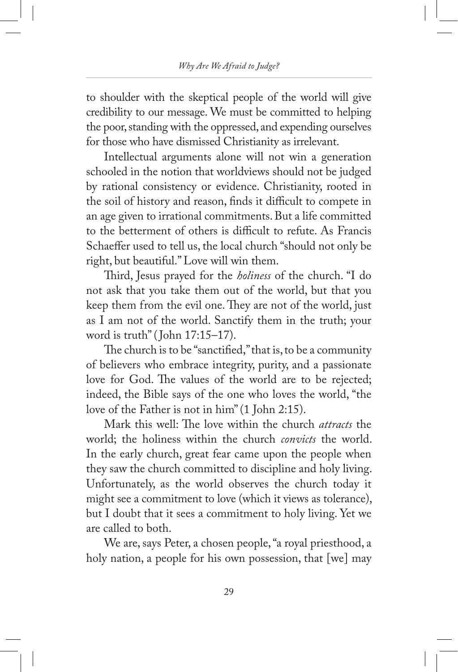to shoulder with the skeptical people of the world will give credibility to our message. We must be committed to helping the poor, standing with the oppressed, and expending ourselves for those who have dismissed Christianity as irrelevant.

Intellectual arguments alone will not win a generation schooled in the notion that worldviews should not be judged by rational consistency or evidence. Christianity, rooted in the soil of history and reason, finds it difficult to compete in an age given to irrational commitments. But a life committed to the betterment of others is difficult to refute. As Francis Schaeffer used to tell us, the local church "should not only be right, but beautiful." Love will win them.

Third, Jesus prayed for the *holiness* of the church. "I do not ask that you take them out of the world, but that you keep them from the evil one. They are not of the world, just as I am not of the world. Sanctify them in the truth; your word is truth" ( John 17:15–17).

The church is to be "sanctified," that is, to be a community of believers who embrace integrity, purity, and a passionate love for God. The values of the world are to be rejected; indeed, the Bible says of the one who loves the world, "the love of the Father is not in him" (1 John 2:15).

Mark this well: The love within the church *attracts* the world; the holiness within the church *convicts* the world. In the early church, great fear came upon the people when they saw the church committed to discipline and holy living. Unfortunately, as the world observes the church today it might see a commitment to love (which it views as tolerance), but I doubt that it sees a commitment to holy living. Yet we are called to both.

We are, says Peter, a chosen people, "a royal priesthood, a holy nation, a people for his own possession, that [we] may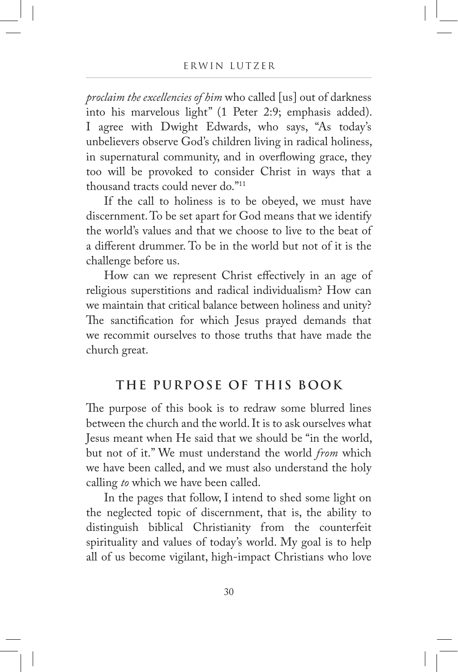*proclaim the excellencies of him* who called [us] out of darkness into his marvelous light" (1 Peter 2:9; emphasis added). I agree with Dwight Edwards, who says, "As today's unbelievers observe God's children living in radical holiness, in supernatural community, and in overflowing grace, they too will be provoked to consider Christ in ways that a thousand tracts could never do."11

If the call to holiness is to be obeyed, we must have discernment. To be set apart for God means that we identify the world's values and that we choose to live to the beat of a different drummer. To be in the world but not of it is the challenge before us.

How can we represent Christ effectively in an age of religious superstitions and radical individualism? How can we maintain that critical balance between holiness and unity? The sanctification for which Jesus prayed demands that we recommit ourselves to those truths that have made the church great.

## **THE PURPOSE OF THIS BOOK**

The purpose of this book is to redraw some blurred lines between the church and the world. It is to ask ourselves what Jesus meant when He said that we should be "in the world, but not of it." We must understand the world *from* which we have been called, and we must also understand the holy calling *to* which we have been called.

In the pages that follow, I intend to shed some light on the neglected topic of discernment, that is, the ability to distinguish biblical Christianity from the counterfeit spirituality and values of today's world. My goal is to help all of us become vigilant, high-impact Christians who love